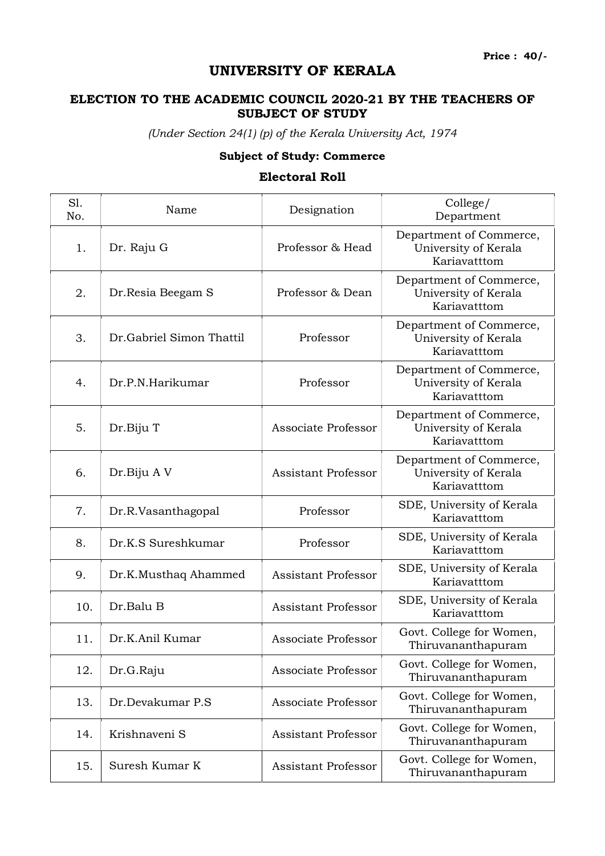## UNIVERSITY OF KERALA

## ELECTION TO THE ACADEMIC COUNCIL 2020-21 BY THE TEACHERS OF SUBJECT OF STUDY

(Under Section 24(1) (p) of the Kerala University Act, 1974

## Subject of Study: Commerce

## Electoral Roll

| S1.<br>No. | Name                     | Designation                | College/<br>Department                                          |
|------------|--------------------------|----------------------------|-----------------------------------------------------------------|
| 1.         | Dr. Raju G               | Professor & Head           | Department of Commerce,<br>University of Kerala<br>Kariavatttom |
| 2.         | Dr.Resia Beegam S        | Professor & Dean           | Department of Commerce,<br>University of Kerala<br>Kariavatttom |
| 3.         | Dr.Gabriel Simon Thattil | Professor                  | Department of Commerce,<br>University of Kerala<br>Kariavatttom |
| 4.         | Dr.P.N.Harikumar         | Professor                  | Department of Commerce,<br>University of Kerala<br>Kariavatttom |
| 5.         | Dr.Biju T                | Associate Professor        | Department of Commerce,<br>University of Kerala<br>Kariavatttom |
| 6.         | Dr.Biju A V              | <b>Assistant Professor</b> | Department of Commerce,<br>University of Kerala<br>Kariavatttom |
| 7.         | Dr.R.Vasanthagopal       | Professor                  | SDE, University of Kerala<br>Kariavatttom                       |
| 8.         | Dr.K.S Sureshkumar       | Professor                  | SDE, University of Kerala<br>Kariavatttom                       |
| 9.         | Dr.K.Musthaq Ahammed     | <b>Assistant Professor</b> | SDE, University of Kerala<br>Kariavatttom                       |
| 10.        | Dr.Balu B                | <b>Assistant Professor</b> | SDE, University of Kerala<br>Kariavatttom                       |
| 11.        | Dr.K.Anil Kumar          | Associate Professor        | Govt. College for Women,<br>Thiruvananthapuram                  |
| 12.        | Dr.G.Raju                | Associate Professor        | Govt. College for Women,<br>Thiruvananthapuram                  |
| 13.        | Dr.Devakumar P.S         | Associate Professor        | Govt. College for Women,<br>Thiruvananthapuram                  |
| 14.        | Krishnaveni S            | <b>Assistant Professor</b> | Govt. College for Women,<br>Thiruvananthapuram                  |
| 15.        | Suresh Kumar K           | <b>Assistant Professor</b> | Govt. College for Women,<br>Thiruvananthapuram                  |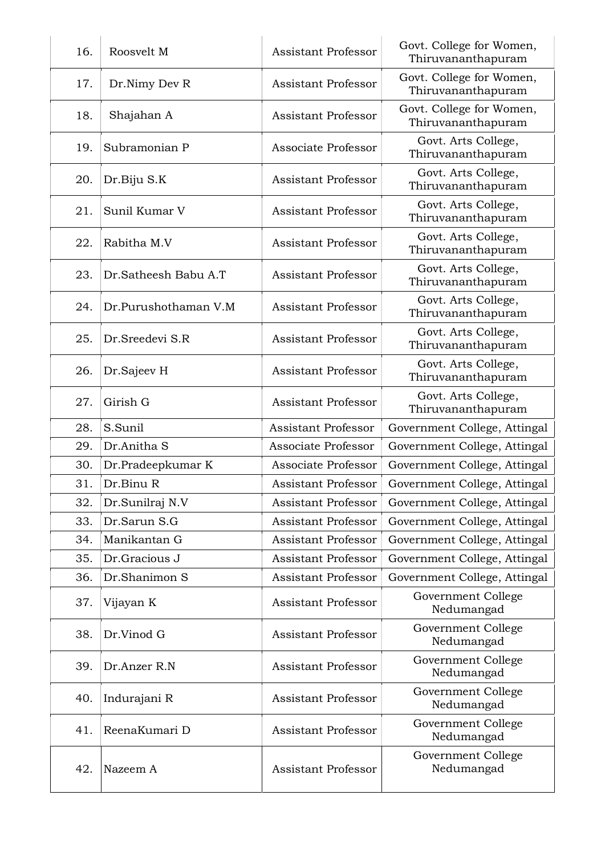| 16. | Roosvelt M           | <b>Assistant Professor</b> | Govt. College for Women,<br>Thiruvananthapuram |
|-----|----------------------|----------------------------|------------------------------------------------|
| 17. | Dr.Nimy Dev R        | <b>Assistant Professor</b> | Govt. College for Women,<br>Thiruvananthapuram |
| 18. | Shajahan A           | <b>Assistant Professor</b> | Govt. College for Women,<br>Thiruvananthapuram |
| 19. | Subramonian P        | Associate Professor        | Govt. Arts College,<br>Thiruvananthapuram      |
| 20. | Dr.Biju S.K          | <b>Assistant Professor</b> | Govt. Arts College,<br>Thiruvananthapuram      |
| 21. | Sunil Kumar V        | <b>Assistant Professor</b> | Govt. Arts College,<br>Thiruvananthapuram      |
| 22. | Rabitha M.V          | <b>Assistant Professor</b> | Govt. Arts College,<br>Thiruvananthapuram      |
| 23. | Dr.Satheesh Babu A.T | <b>Assistant Professor</b> | Govt. Arts College,<br>Thiruvananthapuram      |
| 24. | Dr.Purushothaman V.M | <b>Assistant Professor</b> | Govt. Arts College,<br>Thiruvananthapuram      |
| 25. | Dr.Sreedevi S.R      | <b>Assistant Professor</b> | Govt. Arts College,<br>Thiruvananthapuram      |
| 26. | Dr.Sajeev H          | <b>Assistant Professor</b> | Govt. Arts College,<br>Thiruvananthapuram      |
| 27. | Girish G             | <b>Assistant Professor</b> | Govt. Arts College,<br>Thiruvananthapuram      |
| 28. | S.Sunil              | <b>Assistant Professor</b> | Government College, Attingal                   |
| 29. | Dr.Anitha S          | Associate Professor        | Government College, Attingal                   |
| 30. | Dr.Pradeepkumar K    | Associate Professor        | Government College, Attingal                   |
| 31. | Dr.Binu R            | <b>Assistant Professor</b> | Government College, Attingal                   |
| 32. | Dr.Sunilraj N.V      | <b>Assistant Professor</b> | Government College, Attingal                   |
| 33. | Dr.Sarun S.G         | <b>Assistant Professor</b> | Government College, Attingal                   |
| 34. | Manikantan G         | <b>Assistant Professor</b> | Government College, Attingal                   |
| 35. | Dr.Gracious J        | <b>Assistant Professor</b> | Government College, Attingal                   |
| 36. | Dr.Shanimon S        | <b>Assistant Professor</b> | Government College, Attingal                   |
| 37. | Vijayan K            | <b>Assistant Professor</b> | Government College<br>Nedumangad               |
| 38. | Dr.Vinod G           | <b>Assistant Professor</b> | Government College<br>Nedumangad               |
| 39. | Dr.Anzer R.N         | <b>Assistant Professor</b> | Government College<br>Nedumangad               |
| 40. | Indurajani R         | <b>Assistant Professor</b> | Government College<br>Nedumangad               |
| 41. | ReenaKumari D        | <b>Assistant Professor</b> | Government College<br>Nedumangad               |
| 42. | Nazeem A             | <b>Assistant Professor</b> | Government College<br>Nedumangad               |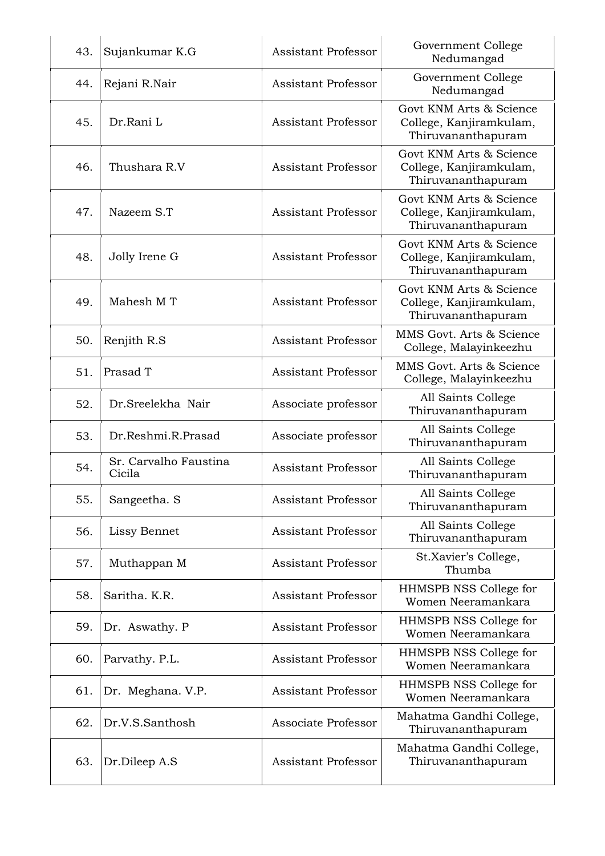| 43. | Sujankumar K.G                  | <b>Assistant Professor</b> | Government College<br>Nedumangad                                         |
|-----|---------------------------------|----------------------------|--------------------------------------------------------------------------|
| 44. | Rejani R.Nair                   | <b>Assistant Professor</b> | Government College<br>Nedumangad                                         |
| 45. | Dr.Rani L                       | <b>Assistant Professor</b> | Govt KNM Arts & Science<br>College, Kanjiramkulam,<br>Thiruvananthapuram |
| 46. | Thushara R.V                    | <b>Assistant Professor</b> | Govt KNM Arts & Science<br>College, Kanjiramkulam,<br>Thiruvananthapuram |
| 47. | Nazeem S.T                      | <b>Assistant Professor</b> | Govt KNM Arts & Science<br>College, Kanjiramkulam,<br>Thiruvananthapuram |
| 48. | Jolly Irene G                   | <b>Assistant Professor</b> | Govt KNM Arts & Science<br>College, Kanjiramkulam,<br>Thiruvananthapuram |
| 49. | Mahesh M T                      | <b>Assistant Professor</b> | Govt KNM Arts & Science<br>College, Kanjiramkulam,<br>Thiruvananthapuram |
| 50. | Renjith R.S                     | <b>Assistant Professor</b> | MMS Govt. Arts & Science<br>College, Malayinkeezhu                       |
| 51. | Prasad T                        | <b>Assistant Professor</b> | MMS Govt. Arts & Science<br>College, Malayinkeezhu                       |
| 52. | Dr.Sreelekha Nair               | Associate professor        | All Saints College<br>Thiruvananthapuram                                 |
| 53. | Dr.Reshmi.R.Prasad              | Associate professor        | All Saints College<br>Thiruvananthapuram                                 |
| 54. | Sr. Carvalho Faustina<br>Cicila | <b>Assistant Professor</b> | All Saints College<br>Thiruvananthapuram                                 |
| 55. | Sangeetha. S                    | <b>Assistant Professor</b> | All Saints College<br>Thiruvananthapuram                                 |
| 56. | Lissy Bennet                    | Assistant Professor        | All Saints College<br>Thiruvananthapuram                                 |
| 57. | Muthappan M                     | <b>Assistant Professor</b> | St.Xavier's College,<br>Thumba                                           |
| 58. | Saritha. K.R.                   | <b>Assistant Professor</b> | HHMSPB NSS College for<br>Women Neeramankara                             |
| 59. | Dr. Aswathy. P                  | <b>Assistant Professor</b> | HHMSPB NSS College for<br>Women Neeramankara                             |
| 60. | Parvathy. P.L.                  | <b>Assistant Professor</b> | HHMSPB NSS College for<br>Women Neeramankara                             |
| 61. | Dr. Meghana. V.P.               | <b>Assistant Professor</b> | HHMSPB NSS College for<br>Women Neeramankara                             |
| 62. | Dr.V.S.Santhosh                 | Associate Professor        | Mahatma Gandhi College,<br>Thiruvananthapuram                            |
| 63. | Dr.Dileep A.S                   | <b>Assistant Professor</b> | Mahatma Gandhi College,<br>Thiruvananthapuram                            |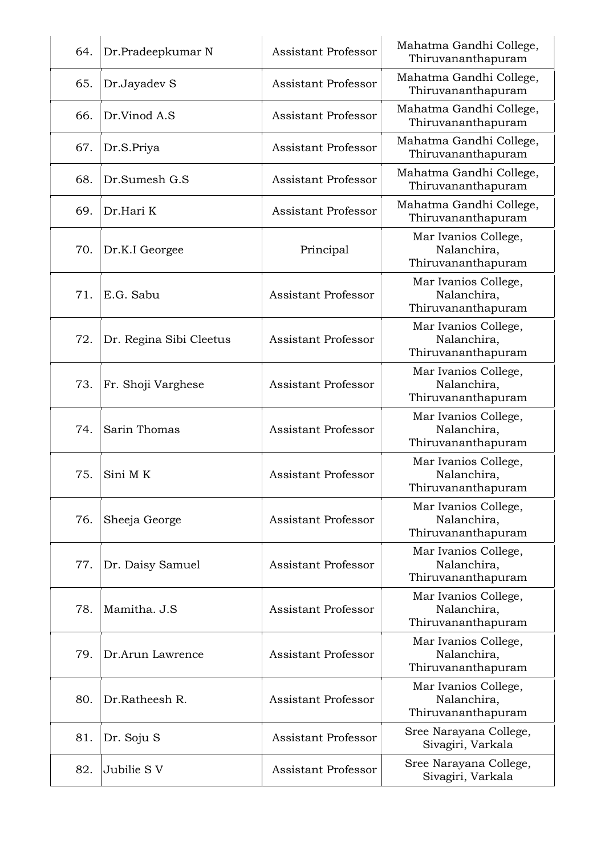| 64. | Dr.Pradeepkumar N       | <b>Assistant Professor</b> | Mahatma Gandhi College,<br>Thiruvananthapuram             |
|-----|-------------------------|----------------------------|-----------------------------------------------------------|
| 65. | Dr.Jayadev S            | <b>Assistant Professor</b> | Mahatma Gandhi College,<br>Thiruvananthapuram             |
| 66. | Dr.Vinod A.S            | <b>Assistant Professor</b> | Mahatma Gandhi College,<br>Thiruvananthapuram             |
| 67. | Dr.S.Priya              | <b>Assistant Professor</b> | Mahatma Gandhi College,<br>Thiruvananthapuram             |
| 68. | Dr.Sumesh G.S           | <b>Assistant Professor</b> | Mahatma Gandhi College,<br>Thiruvananthapuram             |
| 69. | Dr.Hari K               | <b>Assistant Professor</b> | Mahatma Gandhi College,<br>Thiruvananthapuram             |
| 70. | Dr.K.I Georgee          | Principal                  | Mar Ivanios College,<br>Nalanchira,<br>Thiruvananthapuram |
| 71. | E.G. Sabu               | <b>Assistant Professor</b> | Mar Ivanios College,<br>Nalanchira,<br>Thiruvananthapuram |
| 72. | Dr. Regina Sibi Cleetus | <b>Assistant Professor</b> | Mar Ivanios College,<br>Nalanchira,<br>Thiruvananthapuram |
| 73. | Fr. Shoji Varghese      | <b>Assistant Professor</b> | Mar Ivanios College,<br>Nalanchira,<br>Thiruvananthapuram |
| 74. | Sarin Thomas            | <b>Assistant Professor</b> | Mar Ivanios College,<br>Nalanchira,<br>Thiruvananthapuram |
| 75. | Sini MK                 | <b>Assistant Professor</b> | Mar Ivanios College,<br>Nalanchira,<br>Thiruvananthapuram |
| 76. | Sheeja George           | <b>Assistant Professor</b> | Mar Ivanios College,<br>Nalanchira,<br>Thiruvananthapuram |
| 77. | Dr. Daisy Samuel        | <b>Assistant Professor</b> | Mar Ivanios College,<br>Nalanchira,<br>Thiruvananthapuram |
| 78. | Mamitha. J.S            | <b>Assistant Professor</b> | Mar Ivanios College,<br>Nalanchira,<br>Thiruvananthapuram |
| 79. | Dr.Arun Lawrence        | <b>Assistant Professor</b> | Mar Ivanios College,<br>Nalanchira,<br>Thiruvananthapuram |
| 80. | Dr.Ratheesh R.          | <b>Assistant Professor</b> | Mar Ivanios College,<br>Nalanchira,<br>Thiruvananthapuram |
| 81. | Dr. Soju S              | <b>Assistant Professor</b> | Sree Narayana College,<br>Sivagiri, Varkala               |
| 82. | Jubilie SV              | <b>Assistant Professor</b> | Sree Narayana College,<br>Sivagiri, Varkala               |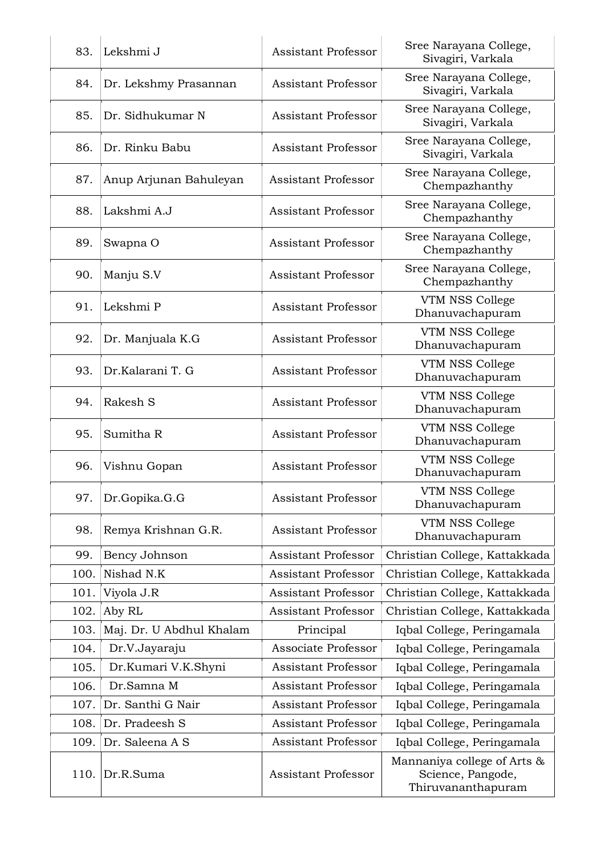| 83.  | Lekshmi J                | <b>Assistant Professor</b> | Sree Narayana College,<br>Sivagiri, Varkala                            |
|------|--------------------------|----------------------------|------------------------------------------------------------------------|
| 84.  | Dr. Lekshmy Prasannan    | <b>Assistant Professor</b> | Sree Narayana College,<br>Sivagiri, Varkala                            |
| 85.  | Dr. Sidhukumar N         | <b>Assistant Professor</b> | Sree Narayana College,<br>Sivagiri, Varkala                            |
| 86.  | Dr. Rinku Babu           | <b>Assistant Professor</b> | Sree Narayana College,<br>Sivagiri, Varkala                            |
| 87.  | Anup Arjunan Bahuleyan   | <b>Assistant Professor</b> | Sree Narayana College,<br>Chempazhanthy                                |
| 88.  | Lakshmi A.J              | <b>Assistant Professor</b> | Sree Narayana College,<br>Chempazhanthy                                |
| 89.  | Swapna O                 | <b>Assistant Professor</b> | Sree Narayana College,<br>Chempazhanthy                                |
| 90.  | Manju S.V                | Assistant Professor        | Sree Narayana College,<br>Chempazhanthy                                |
| 91.  | Lekshmi P                | <b>Assistant Professor</b> | VTM NSS College<br>Dhanuvachapuram                                     |
| 92.  | Dr. Manjuala K.G         | <b>Assistant Professor</b> | VTM NSS College<br>Dhanuvachapuram                                     |
| 93.  | Dr.Kalarani T. G         | <b>Assistant Professor</b> | VTM NSS College<br>Dhanuvachapuram                                     |
| 94.  | Rakesh S                 | <b>Assistant Professor</b> | VTM NSS College<br>Dhanuvachapuram                                     |
| 95.  | Sumitha R                | <b>Assistant Professor</b> | VTM NSS College<br>Dhanuvachapuram                                     |
| 96.  | Vishnu Gopan             | <b>Assistant Professor</b> | VTM NSS College<br>Dhanuvachapuram                                     |
| 97.  | Dr.Gopika.G.G            | <b>Assistant Professor</b> | VTM NSS College<br>Dhanuvachapuram                                     |
| 98.  | Remya Krishnan G.R.      | <b>Assistant Professor</b> | VTM NSS College<br>Dhanuvachapuram                                     |
| 99.  | Bency Johnson            | <b>Assistant Professor</b> | Christian College, Kattakkada                                          |
| 100. | Nishad N.K               | <b>Assistant Professor</b> | Christian College, Kattakkada                                          |
| 101. | Viyola J.R               | <b>Assistant Professor</b> | Christian College, Kattakkada                                          |
| 102. | Aby RL                   | <b>Assistant Professor</b> | Christian College, Kattakkada                                          |
| 103. | Maj. Dr. U Abdhul Khalam | Principal                  | Iqbal College, Peringamala                                             |
| 104. | Dr.V.Jayaraju            | Associate Professor        | Iqbal College, Peringamala                                             |
| 105. | Dr.Kumari V.K.Shyni      | <b>Assistant Professor</b> | Iqbal College, Peringamala                                             |
| 106. | Dr.Samna M               | <b>Assistant Professor</b> | Iqbal College, Peringamala                                             |
| 107. | Dr. Santhi G Nair        | <b>Assistant Professor</b> | Iqbal College, Peringamala                                             |
| 108. | Dr. Pradeesh S           | <b>Assistant Professor</b> | Iqbal College, Peringamala                                             |
| 109. | Dr. Saleena A S          | <b>Assistant Professor</b> | Iqbal College, Peringamala                                             |
| 110. | Dr.R.Suma                | <b>Assistant Professor</b> | Mannaniya college of Arts &<br>Science, Pangode,<br>Thiruvananthapuram |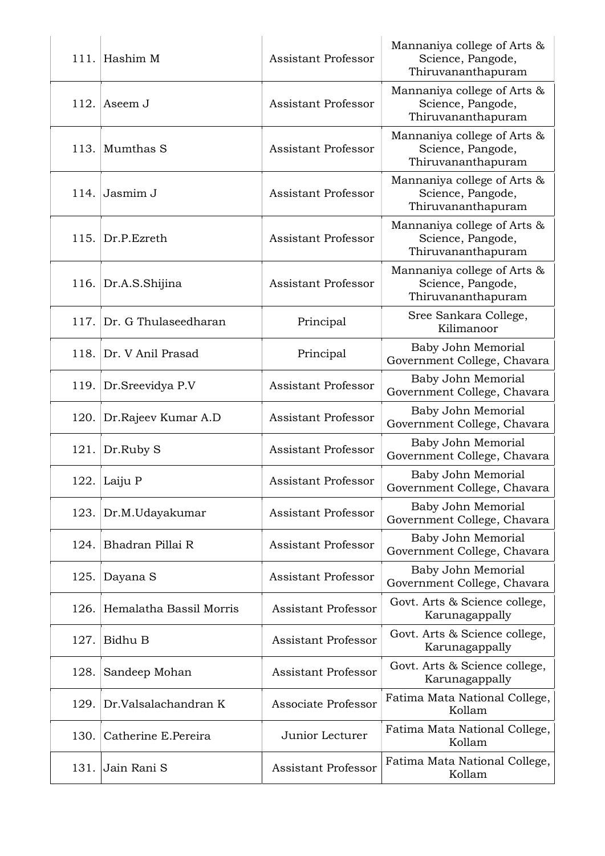|      | $111.$ Hashim M         | <b>Assistant Professor</b> | Mannaniya college of Arts &<br>Science, Pangode,<br>Thiruvananthapuram |
|------|-------------------------|----------------------------|------------------------------------------------------------------------|
| 112. | Aseem J                 | <b>Assistant Professor</b> | Mannaniya college of Arts &<br>Science, Pangode,<br>Thiruvananthapuram |
|      | 113. Mumthas S          | Assistant Professor        | Mannaniya college of Arts &<br>Science, Pangode,<br>Thiruvananthapuram |
|      | 114. Jasmim J           | <b>Assistant Professor</b> | Mannaniya college of Arts &<br>Science, Pangode,<br>Thiruvananthapuram |
| 115. | Dr.P.Ezreth             | <b>Assistant Professor</b> | Mannaniya college of Arts &<br>Science, Pangode,<br>Thiruvananthapuram |
|      | 116. Dr.A.S.Shijina     | <b>Assistant Professor</b> | Mannaniya college of Arts &<br>Science, Pangode,<br>Thiruvananthapuram |
| 117. | Dr. G Thulaseedharan    | Principal                  | Sree Sankara College,<br>Kilimanoor                                    |
|      | 118. Dr. V Anil Prasad  | Principal                  | Baby John Memorial<br>Government College, Chavara                      |
|      | 119. Dr. Sreevidya P.V  | <b>Assistant Professor</b> | Baby John Memorial<br>Government College, Chavara                      |
| 120. | Dr.Rajeev Kumar A.D     | <b>Assistant Professor</b> | Baby John Memorial<br>Government College, Chavara                      |
| 121. | Dr.Ruby S               | <b>Assistant Professor</b> | Baby John Memorial<br>Government College, Chavara                      |
|      | 122. Laiju P            | <b>Assistant Professor</b> | Baby John Memorial<br>Government College, Chavara                      |
|      | 123. Dr.M.Udayakumar    | <b>Assistant Professor</b> | Baby John Memorial<br>Government College, Chavara                      |
| 124. | Bhadran Pillai R        | <b>Assistant Professor</b> | Baby John Memorial<br>Government College, Chavara                      |
| 125. | Dayana S                | <b>Assistant Professor</b> | Baby John Memorial<br>Government College, Chavara                      |
| 126. | Hemalatha Bassil Morris | <b>Assistant Professor</b> | Govt. Arts & Science college,<br>Karunagappally                        |
| 127. | Bidhu B                 | <b>Assistant Professor</b> | Govt. Arts & Science college,<br>Karunagappally                        |
| 128. | Sandeep Mohan           | <b>Assistant Professor</b> | Govt. Arts & Science college,<br>Karunagappally                        |
| 129. | Dr.Valsalachandran K    | Associate Professor        | Fatima Mata National College,<br>Kollam                                |
| 130. | Catherine E.Pereira     | Junior Lecturer            | Fatima Mata National College,<br>Kollam                                |
| 131. | Jain Rani S             | <b>Assistant Professor</b> | Fatima Mata National College,<br>Kollam                                |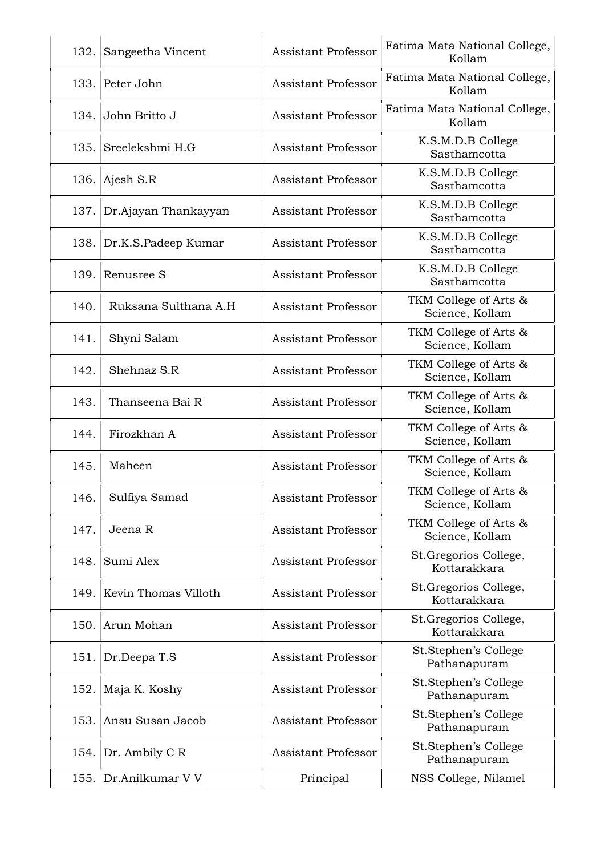| 132. | Sangeetha Vincent    | <b>Assistant Professor</b> | Fatima Mata National College,<br>Kollam  |
|------|----------------------|----------------------------|------------------------------------------|
|      | 133. Peter John      | <b>Assistant Professor</b> | Fatima Mata National College,<br>Kollam  |
| 134. | John Britto J        | <b>Assistant Professor</b> | Fatima Mata National College,<br>Kollam  |
| 135. | Sreelekshmi H.G      | Assistant Professor        | K.S.M.D.B College<br>Sasthamcotta        |
|      | 136. Ajesh S.R       | <b>Assistant Professor</b> | K.S.M.D.B College<br>Sasthamcotta        |
| 137. | Dr.Ajayan Thankayyan | <b>Assistant Professor</b> | K.S.M.D.B College<br>Sasthamcotta        |
| 138. | Dr.K.S.Padeep Kumar  | <b>Assistant Professor</b> | K.S.M.D.B College<br>Sasthamcotta        |
|      | 139. Renusree S      | <b>Assistant Professor</b> | K.S.M.D.B College<br>Sasthamcotta        |
| 140. | Ruksana Sulthana A.H | <b>Assistant Professor</b> | TKM College of Arts &<br>Science, Kollam |
| 141. | Shyni Salam          | <b>Assistant Professor</b> | TKM College of Arts &<br>Science, Kollam |
| 142. | Shehnaz S.R          | <b>Assistant Professor</b> | TKM College of Arts &<br>Science, Kollam |
| 143. | Thanseena Bai R      | <b>Assistant Professor</b> | TKM College of Arts &<br>Science, Kollam |
| 144. | Firozkhan A          | <b>Assistant Professor</b> | TKM College of Arts &<br>Science, Kollam |
| 145. | Maheen               | <b>Assistant Professor</b> | TKM College of Arts &<br>Science, Kollam |
| 146. | Sulfiya Samad        | <b>Assistant Professor</b> | TKM College of Arts &<br>Science, Kollam |
| 147. | Jeena R              | <b>Assistant Professor</b> | TKM College of Arts &<br>Science, Kollam |
| 148. | Sumi Alex            | <b>Assistant Professor</b> | St. Gregorios College,<br>Kottarakkara   |
| 149. | Kevin Thomas Villoth | <b>Assistant Professor</b> | St. Gregorios College,<br>Kottarakkara   |
| 150. | Arun Mohan           | <b>Assistant Professor</b> | St. Gregorios College,<br>Kottarakkara   |
| 151. | Dr.Deepa T.S         | <b>Assistant Professor</b> | St.Stephen's College<br>Pathanapuram     |
| 152. | Maja K. Koshy        | <b>Assistant Professor</b> | St.Stephen's College<br>Pathanapuram     |
| 153. | Ansu Susan Jacob     | <b>Assistant Professor</b> | St.Stephen's College<br>Pathanapuram     |
| 154. | Dr. Ambily C R       | <b>Assistant Professor</b> | St.Stephen's College<br>Pathanapuram     |
| 155. | Dr.Anilkumar V V     | Principal                  | NSS College, Nilamel                     |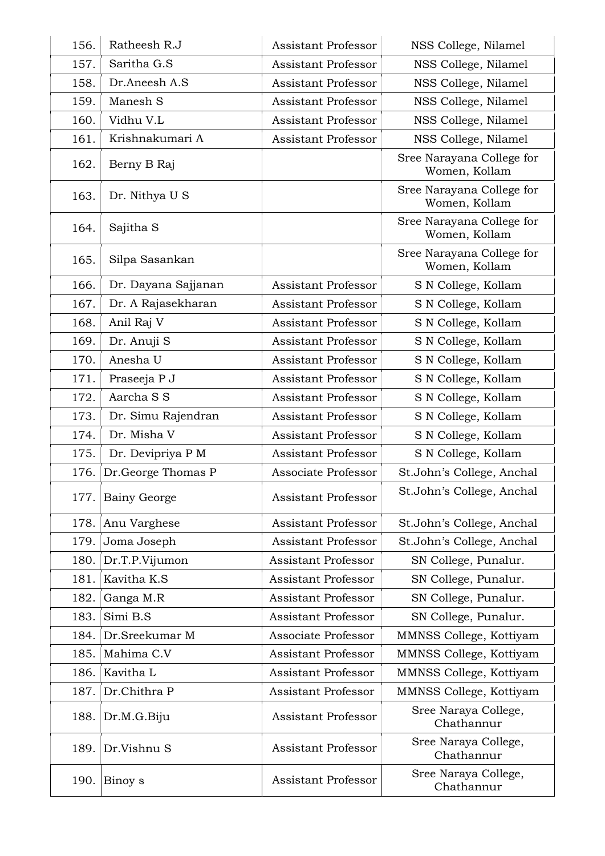| 156. | Ratheesh R.J        | <b>Assistant Professor</b> | NSS College, Nilamel                       |
|------|---------------------|----------------------------|--------------------------------------------|
| 157. | Saritha G.S         | <b>Assistant Professor</b> | NSS College, Nilamel                       |
| 158. | Dr.Aneesh A.S       | <b>Assistant Professor</b> | NSS College, Nilamel                       |
| 159. | Manesh S            | <b>Assistant Professor</b> | NSS College, Nilamel                       |
| 160. | Vidhu V.L           | <b>Assistant Professor</b> | NSS College, Nilamel                       |
| 161. | Krishnakumari A     | <b>Assistant Professor</b> | NSS College, Nilamel                       |
| 162. | Berny B Raj         |                            | Sree Narayana College for<br>Women, Kollam |
| 163. | Dr. Nithya U S      |                            | Sree Narayana College for<br>Women, Kollam |
| 164. | Sajitha S           |                            | Sree Narayana College for<br>Women, Kollam |
| 165. | Silpa Sasankan      |                            | Sree Narayana College for<br>Women, Kollam |
| 166. | Dr. Dayana Sajjanan | <b>Assistant Professor</b> | S N College, Kollam                        |
| 167. | Dr. A Rajasekharan  | <b>Assistant Professor</b> | S N College, Kollam                        |
| 168. | Anil Raj V          | <b>Assistant Professor</b> | S N College, Kollam                        |
| 169. | Dr. Anuji S         | <b>Assistant Professor</b> | S N College, Kollam                        |
| 170. | Anesha U            | <b>Assistant Professor</b> | S N College, Kollam                        |
| 171. | Praseeja P J        | <b>Assistant Professor</b> | S N College, Kollam                        |
| 172. | Aarcha S S          | <b>Assistant Professor</b> | S N College, Kollam                        |
| 173. | Dr. Simu Rajendran  | <b>Assistant Professor</b> | S N College, Kollam                        |
| 174. | Dr. Misha V         | <b>Assistant Professor</b> | S N College, Kollam                        |
| 175. | Dr. Devipriya P M   | <b>Assistant Professor</b> | S N College, Kollam                        |
| 176. | Dr.George Thomas P  | Associate Professor        | St.John's College, Anchal                  |
| 177. | Bainy George        | <b>Assistant Professor</b> | St.John's College, Anchal                  |
| 178. | Anu Varghese        | <b>Assistant Professor</b> | St.John's College, Anchal                  |
| 179. | Joma Joseph         | <b>Assistant Professor</b> | St.John's College, Anchal                  |
| 180. | Dr.T.P.Vijumon      | <b>Assistant Professor</b> | SN College, Punalur.                       |
| 181. | Kavitha K.S         | <b>Assistant Professor</b> | SN College, Punalur.                       |
| 182. | Ganga M.R           | <b>Assistant Professor</b> | SN College, Punalur.                       |
| 183. | Simi B.S            | <b>Assistant Professor</b> | SN College, Punalur.                       |
| 184. | Dr.Sreekumar M      | Associate Professor        | MMNSS College, Kottiyam                    |
| 185. | Mahima C.V          | <b>Assistant Professor</b> | MMNSS College, Kottiyam                    |
| 186. | Kavitha L           | <b>Assistant Professor</b> | MMNSS College, Kottiyam                    |
| 187. | Dr.Chithra P        | Assistant Professor        | MMNSS College, Kottiyam                    |
| 188. | Dr.M.G.Biju         | <b>Assistant Professor</b> | Sree Naraya College,<br>Chathannur         |
| 189. | Dr.Vishnu S         | <b>Assistant Professor</b> | Sree Naraya College,<br>Chathannur         |
| 190. | Binoy s             | <b>Assistant Professor</b> | Sree Naraya College,<br>Chathannur         |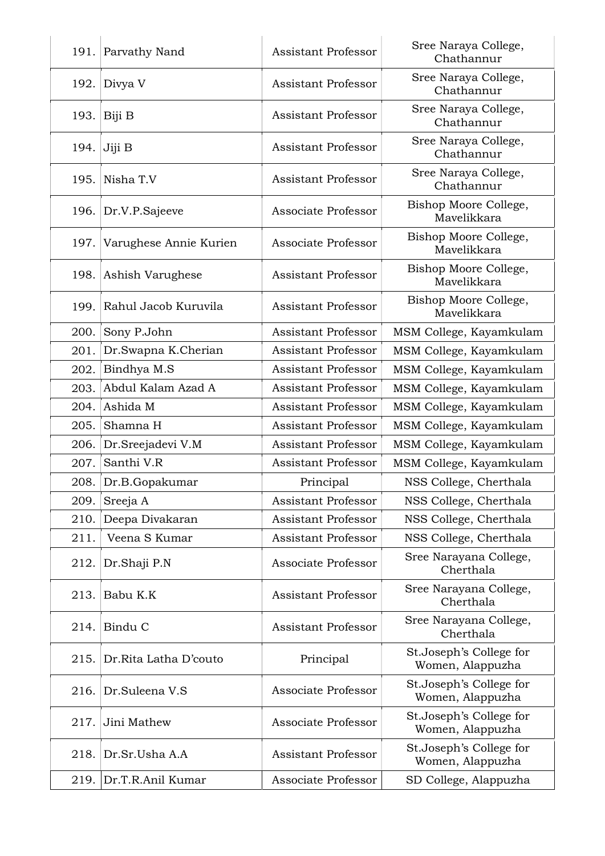| 191. | Parvathy Nand          | <b>Assistant Professor</b> | Sree Naraya College,<br>Chathannur          |
|------|------------------------|----------------------------|---------------------------------------------|
| 192. | Divya V                | <b>Assistant Professor</b> | Sree Naraya College,<br>Chathannur          |
| 193. | Biji B                 | <b>Assistant Professor</b> | Sree Naraya College,<br>Chathannur          |
| 194. | Jiji B                 | <b>Assistant Professor</b> | Sree Naraya College,<br>Chathannur          |
| 195. | Nisha T.V              | <b>Assistant Professor</b> | Sree Naraya College,<br>Chathannur          |
| 196. | Dr.V.P.Sajeeve         | Associate Professor        | Bishop Moore College,<br>Mavelikkara        |
| 197. | Varughese Annie Kurien | Associate Professor        | Bishop Moore College,<br>Mavelikkara        |
| 198. | Ashish Varughese       | <b>Assistant Professor</b> | Bishop Moore College,<br>Mavelikkara        |
| 199. | Rahul Jacob Kuruvila   | Assistant Professor        | Bishop Moore College,<br>Mavelikkara        |
| 200. | Sony P.John            | <b>Assistant Professor</b> | MSM College, Kayamkulam                     |
| 201. | Dr.Swapna K.Cherian    | <b>Assistant Professor</b> | MSM College, Kayamkulam                     |
| 202. | Bindhya M.S            | <b>Assistant Professor</b> | MSM College, Kayamkulam                     |
| 203. | Abdul Kalam Azad A     | <b>Assistant Professor</b> | MSM College, Kayamkulam                     |
| 204. | Ashida M               | <b>Assistant Professor</b> | MSM College, Kayamkulam                     |
| 205. | Shamna H               | <b>Assistant Professor</b> | MSM College, Kayamkulam                     |
| 206. | Dr.Sreejadevi V.M      | <b>Assistant Professor</b> | MSM College, Kayamkulam                     |
| 207. | Santhi V.R             | <b>Assistant Professor</b> | MSM College, Kayamkulam                     |
| 208. | Dr.B.Gopakumar         | Principal                  | NSS College, Cherthala                      |
| 209. | Sreeja A               | <b>Assistant Professor</b> | NSS College, Cherthala                      |
| 210. | Deepa Divakaran        | <b>Assistant Professor</b> | NSS College, Cherthala                      |
| 211. | Veena S Kumar          | <b>Assistant Professor</b> | NSS College, Cherthala                      |
| 212. | Dr.Shaji P.N           | Associate Professor        | Sree Narayana College,<br>Cherthala         |
| 213. | Babu K.K               | <b>Assistant Professor</b> | Sree Narayana College,<br>Cherthala         |
| 214. | Bindu C                | <b>Assistant Professor</b> | Sree Narayana College,<br>Cherthala         |
| 215. | Dr.Rita Latha D'couto  | Principal                  | St.Joseph's College for<br>Women, Alappuzha |
| 216. | Dr.Suleena V.S         | Associate Professor        | St.Joseph's College for<br>Women, Alappuzha |
| 217. | Jini Mathew            | Associate Professor        | St.Joseph's College for<br>Women, Alappuzha |
| 218. | Dr.Sr.Usha A.A         | <b>Assistant Professor</b> | St.Joseph's College for<br>Women, Alappuzha |
| 219. | Dr.T.R.Anil Kumar      | Associate Professor        | SD College, Alappuzha                       |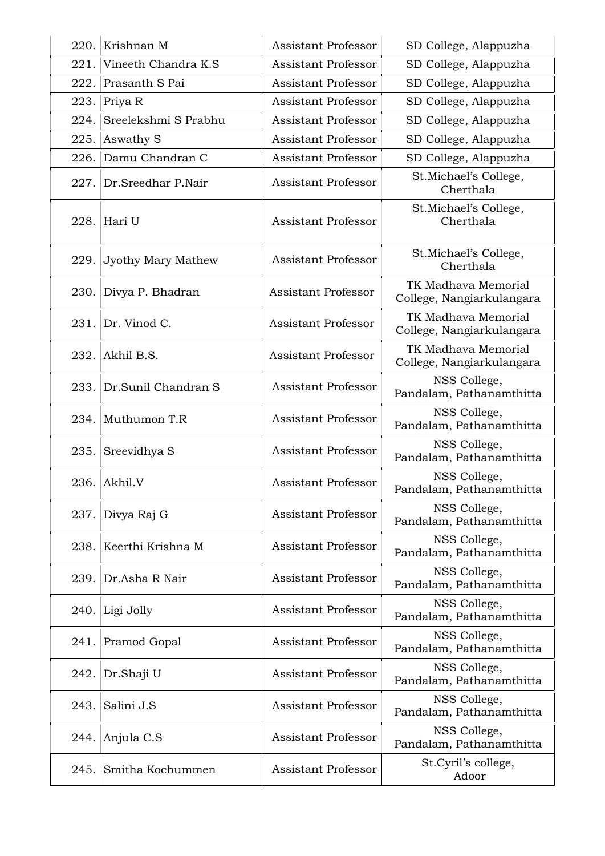| Vineeth Chandra K.S<br>221.<br><b>Assistant Professor</b><br>SD College, Alappuzha<br>Prasanth S Pai<br>222.<br><b>Assistant Professor</b><br>SD College, Alappuzha<br>Priya R<br><b>Assistant Professor</b><br>SD College, Alappuzha<br>223.<br>Sreelekshmi S Prabhu<br>224.<br><b>Assistant Professor</b><br>SD College, Alappuzha<br>225.<br>Aswathy S<br><b>Assistant Professor</b><br>SD College, Alappuzha<br>Damu Chandran C<br>226.<br><b>Assistant Professor</b><br>SD College, Alappuzha<br>St. Michael's College,<br><b>Assistant Professor</b><br>Dr.Sreedhar P.Nair<br>227.<br>Cherthala<br>St.Michael's College,<br><b>Assistant Professor</b><br>228. Hari U<br>Cherthala<br>St.Michael's College,<br><b>Assistant Professor</b><br>229.<br>Jyothy Mary Mathew<br>Cherthala<br>TK Madhava Memorial<br><b>Assistant Professor</b><br>230.<br>Divya P. Bhadran<br>College, Nangiarkulangara<br>TK Madhaya Memorial<br>Dr. Vinod C.<br><b>Assistant Professor</b><br>231.<br>College, Nangiarkulangara<br>TK Madhava Memorial<br>232.<br>Akhil B.S.<br><b>Assistant Professor</b><br>College, Nangiarkulangara<br>NSS College,<br><b>Assistant Professor</b><br>Dr.Sunil Chandran S<br>233.<br>Pandalam, Pathanamthitta<br>NSS College,<br><b>Assistant Professor</b><br>Muthumon T.R<br>234.<br>Pandalam, Pathanamthitta<br>NSS College,<br><b>Assistant Professor</b><br>Sreevidhya S<br>235.<br>Pandalam, Pathanamthitta<br>NSS College,<br>236. Akhil.V<br>Assistant Professor<br>Pandalam, Pathanamthitta<br>NSS College,<br><b>Assistant Professor</b><br>Divya Raj G<br>237.<br>Pandalam, Pathanamthitta<br>NSS College,<br><b>Assistant Professor</b><br>Keerthi Krishna M<br>238.<br>Pandalam, Pathanamthitta<br>NSS College,<br><b>Assistant Professor</b><br>239.<br>Dr.Asha R Nair<br>Pandalam, Pathanamthitta<br>NSS College,<br>240.<br>Ligi Jolly<br><b>Assistant Professor</b><br>Pandalam, Pathanamthitta<br>NSS College,<br>Assistant Professor<br>Pramod Gopal<br>241.<br>Pandalam, Pathanamthitta<br>NSS College,<br>242.<br>Dr.Shaji U<br><b>Assistant Professor</b><br>Pandalam, Pathanamthitta<br>NSS College,<br><b>Assistant Professor</b><br>Salini J.S<br>243.<br>Pandalam, Pathanamthitta<br>NSS College,<br><b>Assistant Professor</b><br>Anjula C.S<br>244.<br>Pandalam, Pathanamthitta<br>St.Cyril's college,<br>245.<br><b>Assistant Professor</b><br>Smitha Kochummen<br>Adoor | 220. | Krishnan M | Assistant Professor | SD College, Alappuzha |
|-----------------------------------------------------------------------------------------------------------------------------------------------------------------------------------------------------------------------------------------------------------------------------------------------------------------------------------------------------------------------------------------------------------------------------------------------------------------------------------------------------------------------------------------------------------------------------------------------------------------------------------------------------------------------------------------------------------------------------------------------------------------------------------------------------------------------------------------------------------------------------------------------------------------------------------------------------------------------------------------------------------------------------------------------------------------------------------------------------------------------------------------------------------------------------------------------------------------------------------------------------------------------------------------------------------------------------------------------------------------------------------------------------------------------------------------------------------------------------------------------------------------------------------------------------------------------------------------------------------------------------------------------------------------------------------------------------------------------------------------------------------------------------------------------------------------------------------------------------------------------------------------------------------------------------------------------------------------------------------------------------------------------------------------------------------------------------------------------------------------------------------------------------------------------------------------------------------------------------------------------------------------------------------------------------------------------------------------------------------------------------------------------------------------------------|------|------------|---------------------|-----------------------|
|                                                                                                                                                                                                                                                                                                                                                                                                                                                                                                                                                                                                                                                                                                                                                                                                                                                                                                                                                                                                                                                                                                                                                                                                                                                                                                                                                                                                                                                                                                                                                                                                                                                                                                                                                                                                                                                                                                                                                                                                                                                                                                                                                                                                                                                                                                                                                                                                                             |      |            |                     |                       |
|                                                                                                                                                                                                                                                                                                                                                                                                                                                                                                                                                                                                                                                                                                                                                                                                                                                                                                                                                                                                                                                                                                                                                                                                                                                                                                                                                                                                                                                                                                                                                                                                                                                                                                                                                                                                                                                                                                                                                                                                                                                                                                                                                                                                                                                                                                                                                                                                                             |      |            |                     |                       |
|                                                                                                                                                                                                                                                                                                                                                                                                                                                                                                                                                                                                                                                                                                                                                                                                                                                                                                                                                                                                                                                                                                                                                                                                                                                                                                                                                                                                                                                                                                                                                                                                                                                                                                                                                                                                                                                                                                                                                                                                                                                                                                                                                                                                                                                                                                                                                                                                                             |      |            |                     |                       |
|                                                                                                                                                                                                                                                                                                                                                                                                                                                                                                                                                                                                                                                                                                                                                                                                                                                                                                                                                                                                                                                                                                                                                                                                                                                                                                                                                                                                                                                                                                                                                                                                                                                                                                                                                                                                                                                                                                                                                                                                                                                                                                                                                                                                                                                                                                                                                                                                                             |      |            |                     |                       |
|                                                                                                                                                                                                                                                                                                                                                                                                                                                                                                                                                                                                                                                                                                                                                                                                                                                                                                                                                                                                                                                                                                                                                                                                                                                                                                                                                                                                                                                                                                                                                                                                                                                                                                                                                                                                                                                                                                                                                                                                                                                                                                                                                                                                                                                                                                                                                                                                                             |      |            |                     |                       |
|                                                                                                                                                                                                                                                                                                                                                                                                                                                                                                                                                                                                                                                                                                                                                                                                                                                                                                                                                                                                                                                                                                                                                                                                                                                                                                                                                                                                                                                                                                                                                                                                                                                                                                                                                                                                                                                                                                                                                                                                                                                                                                                                                                                                                                                                                                                                                                                                                             |      |            |                     |                       |
|                                                                                                                                                                                                                                                                                                                                                                                                                                                                                                                                                                                                                                                                                                                                                                                                                                                                                                                                                                                                                                                                                                                                                                                                                                                                                                                                                                                                                                                                                                                                                                                                                                                                                                                                                                                                                                                                                                                                                                                                                                                                                                                                                                                                                                                                                                                                                                                                                             |      |            |                     |                       |
|                                                                                                                                                                                                                                                                                                                                                                                                                                                                                                                                                                                                                                                                                                                                                                                                                                                                                                                                                                                                                                                                                                                                                                                                                                                                                                                                                                                                                                                                                                                                                                                                                                                                                                                                                                                                                                                                                                                                                                                                                                                                                                                                                                                                                                                                                                                                                                                                                             |      |            |                     |                       |
|                                                                                                                                                                                                                                                                                                                                                                                                                                                                                                                                                                                                                                                                                                                                                                                                                                                                                                                                                                                                                                                                                                                                                                                                                                                                                                                                                                                                                                                                                                                                                                                                                                                                                                                                                                                                                                                                                                                                                                                                                                                                                                                                                                                                                                                                                                                                                                                                                             |      |            |                     |                       |
|                                                                                                                                                                                                                                                                                                                                                                                                                                                                                                                                                                                                                                                                                                                                                                                                                                                                                                                                                                                                                                                                                                                                                                                                                                                                                                                                                                                                                                                                                                                                                                                                                                                                                                                                                                                                                                                                                                                                                                                                                                                                                                                                                                                                                                                                                                                                                                                                                             |      |            |                     |                       |
|                                                                                                                                                                                                                                                                                                                                                                                                                                                                                                                                                                                                                                                                                                                                                                                                                                                                                                                                                                                                                                                                                                                                                                                                                                                                                                                                                                                                                                                                                                                                                                                                                                                                                                                                                                                                                                                                                                                                                                                                                                                                                                                                                                                                                                                                                                                                                                                                                             |      |            |                     |                       |
|                                                                                                                                                                                                                                                                                                                                                                                                                                                                                                                                                                                                                                                                                                                                                                                                                                                                                                                                                                                                                                                                                                                                                                                                                                                                                                                                                                                                                                                                                                                                                                                                                                                                                                                                                                                                                                                                                                                                                                                                                                                                                                                                                                                                                                                                                                                                                                                                                             |      |            |                     |                       |
|                                                                                                                                                                                                                                                                                                                                                                                                                                                                                                                                                                                                                                                                                                                                                                                                                                                                                                                                                                                                                                                                                                                                                                                                                                                                                                                                                                                                                                                                                                                                                                                                                                                                                                                                                                                                                                                                                                                                                                                                                                                                                                                                                                                                                                                                                                                                                                                                                             |      |            |                     |                       |
|                                                                                                                                                                                                                                                                                                                                                                                                                                                                                                                                                                                                                                                                                                                                                                                                                                                                                                                                                                                                                                                                                                                                                                                                                                                                                                                                                                                                                                                                                                                                                                                                                                                                                                                                                                                                                                                                                                                                                                                                                                                                                                                                                                                                                                                                                                                                                                                                                             |      |            |                     |                       |
|                                                                                                                                                                                                                                                                                                                                                                                                                                                                                                                                                                                                                                                                                                                                                                                                                                                                                                                                                                                                                                                                                                                                                                                                                                                                                                                                                                                                                                                                                                                                                                                                                                                                                                                                                                                                                                                                                                                                                                                                                                                                                                                                                                                                                                                                                                                                                                                                                             |      |            |                     |                       |
|                                                                                                                                                                                                                                                                                                                                                                                                                                                                                                                                                                                                                                                                                                                                                                                                                                                                                                                                                                                                                                                                                                                                                                                                                                                                                                                                                                                                                                                                                                                                                                                                                                                                                                                                                                                                                                                                                                                                                                                                                                                                                                                                                                                                                                                                                                                                                                                                                             |      |            |                     |                       |
|                                                                                                                                                                                                                                                                                                                                                                                                                                                                                                                                                                                                                                                                                                                                                                                                                                                                                                                                                                                                                                                                                                                                                                                                                                                                                                                                                                                                                                                                                                                                                                                                                                                                                                                                                                                                                                                                                                                                                                                                                                                                                                                                                                                                                                                                                                                                                                                                                             |      |            |                     |                       |
|                                                                                                                                                                                                                                                                                                                                                                                                                                                                                                                                                                                                                                                                                                                                                                                                                                                                                                                                                                                                                                                                                                                                                                                                                                                                                                                                                                                                                                                                                                                                                                                                                                                                                                                                                                                                                                                                                                                                                                                                                                                                                                                                                                                                                                                                                                                                                                                                                             |      |            |                     |                       |
|                                                                                                                                                                                                                                                                                                                                                                                                                                                                                                                                                                                                                                                                                                                                                                                                                                                                                                                                                                                                                                                                                                                                                                                                                                                                                                                                                                                                                                                                                                                                                                                                                                                                                                                                                                                                                                                                                                                                                                                                                                                                                                                                                                                                                                                                                                                                                                                                                             |      |            |                     |                       |
|                                                                                                                                                                                                                                                                                                                                                                                                                                                                                                                                                                                                                                                                                                                                                                                                                                                                                                                                                                                                                                                                                                                                                                                                                                                                                                                                                                                                                                                                                                                                                                                                                                                                                                                                                                                                                                                                                                                                                                                                                                                                                                                                                                                                                                                                                                                                                                                                                             |      |            |                     |                       |
|                                                                                                                                                                                                                                                                                                                                                                                                                                                                                                                                                                                                                                                                                                                                                                                                                                                                                                                                                                                                                                                                                                                                                                                                                                                                                                                                                                                                                                                                                                                                                                                                                                                                                                                                                                                                                                                                                                                                                                                                                                                                                                                                                                                                                                                                                                                                                                                                                             |      |            |                     |                       |
|                                                                                                                                                                                                                                                                                                                                                                                                                                                                                                                                                                                                                                                                                                                                                                                                                                                                                                                                                                                                                                                                                                                                                                                                                                                                                                                                                                                                                                                                                                                                                                                                                                                                                                                                                                                                                                                                                                                                                                                                                                                                                                                                                                                                                                                                                                                                                                                                                             |      |            |                     |                       |
|                                                                                                                                                                                                                                                                                                                                                                                                                                                                                                                                                                                                                                                                                                                                                                                                                                                                                                                                                                                                                                                                                                                                                                                                                                                                                                                                                                                                                                                                                                                                                                                                                                                                                                                                                                                                                                                                                                                                                                                                                                                                                                                                                                                                                                                                                                                                                                                                                             |      |            |                     |                       |
|                                                                                                                                                                                                                                                                                                                                                                                                                                                                                                                                                                                                                                                                                                                                                                                                                                                                                                                                                                                                                                                                                                                                                                                                                                                                                                                                                                                                                                                                                                                                                                                                                                                                                                                                                                                                                                                                                                                                                                                                                                                                                                                                                                                                                                                                                                                                                                                                                             |      |            |                     |                       |
|                                                                                                                                                                                                                                                                                                                                                                                                                                                                                                                                                                                                                                                                                                                                                                                                                                                                                                                                                                                                                                                                                                                                                                                                                                                                                                                                                                                                                                                                                                                                                                                                                                                                                                                                                                                                                                                                                                                                                                                                                                                                                                                                                                                                                                                                                                                                                                                                                             |      |            |                     |                       |